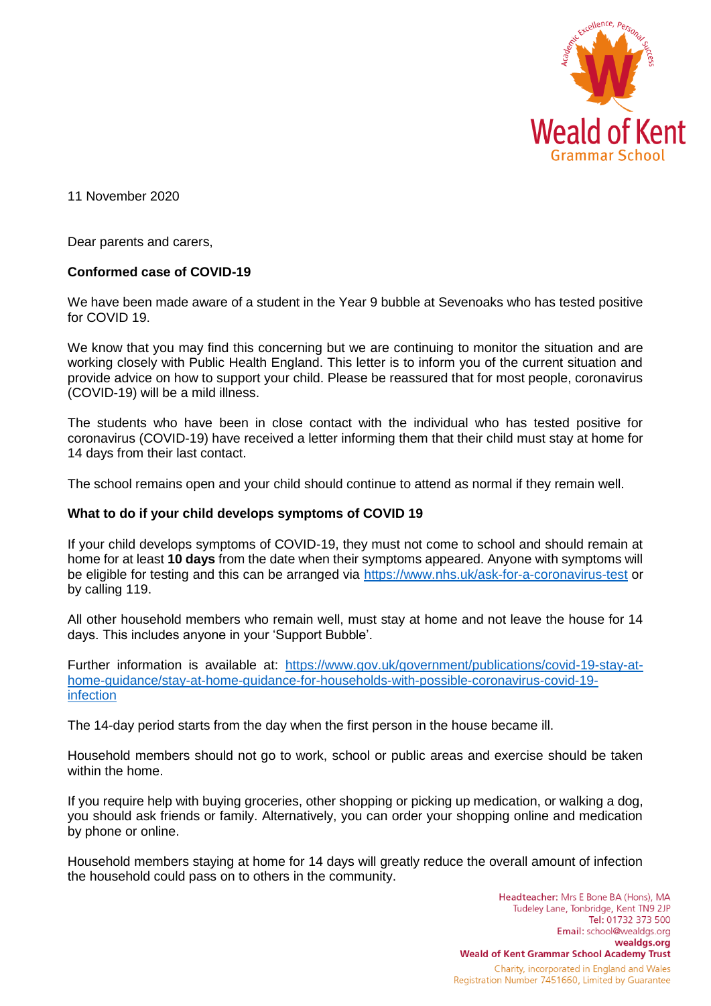

11 November 2020

Dear parents and carers,

## **Conformed case of COVID-19**

We have been made aware of a student in the Year 9 bubble at Sevenoaks who has tested positive for COVID 19.

We know that you may find this concerning but we are continuing to monitor the situation and are working closely with Public Health England. This letter is to inform you of the current situation and provide advice on how to support your child. Please be reassured that for most people, coronavirus (COVID-19) will be a mild illness.

The students who have been in close contact with the individual who has tested positive for coronavirus (COVID-19) have received a letter informing them that their child must stay at home for 14 days from their last contact.

The school remains open and your child should continue to attend as normal if they remain well.

## **What to do if your child develops symptoms of COVID 19**

If your child develops symptoms of COVID-19, they must not come to school and should remain at home for at least **10 days** from the date when their symptoms appeared. Anyone with symptoms will be eligible for testing and this can be arranged via<https://www.nhs.uk/ask-for-a-coronavirus-test> or by calling 119.

All other household members who remain well, must stay at home and not leave the house for 14 days. This includes anyone in your 'Support Bubble'.

Further information is available at: [https://www.gov.uk/government/publications/covid-19-stay-at](https://www.gov.uk/government/publications/covid-19-stay-at-home-guidance/stay-at-home-guidance-for-households-with-possible-coronavirus-covid-19-infection)[home-guidance/stay-at-home-guidance-for-households-with-possible-coronavirus-covid-19](https://www.gov.uk/government/publications/covid-19-stay-at-home-guidance/stay-at-home-guidance-for-households-with-possible-coronavirus-covid-19-infection) [infection](https://www.gov.uk/government/publications/covid-19-stay-at-home-guidance/stay-at-home-guidance-for-households-with-possible-coronavirus-covid-19-infection)

The 14-day period starts from the day when the first person in the house became ill.

Household members should not go to work, school or public areas and exercise should be taken within the home.

If you require help with buying groceries, other shopping or picking up medication, or walking a dog, you should ask friends or family. Alternatively, you can order your shopping online and medication by phone or online.

Household members staying at home for 14 days will greatly reduce the overall amount of infection the household could pass on to others in the community.

> Headteacher: Mrs E Bone BA (Hons), MA Tudeley Lane, Tonbridge, Kent TN9 2JP Tel: 01732 373 500 Email: school@wealdgs.org wealdgs.org **Weald of Kent Grammar School Academy Trust** Charity, incorporated in England and Wales Registration Number 7451660, Limited by Guarantee